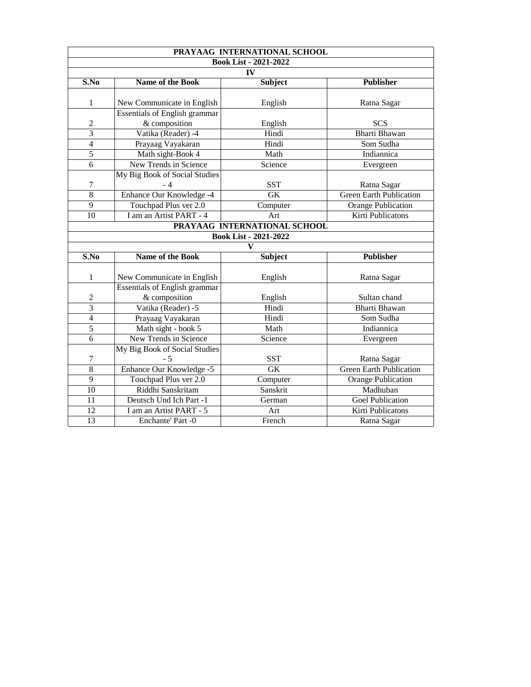|                              | PRAYAAG INTERNATIONAL SCHOOL         |                              |                                |  |  |  |
|------------------------------|--------------------------------------|------------------------------|--------------------------------|--|--|--|
| <b>Book List - 2021-2022</b> |                                      |                              |                                |  |  |  |
| <b>IV</b>                    |                                      |                              |                                |  |  |  |
| S.No                         | <b>Name of the Book</b>              | <b>Subject</b>               | <b>Publisher</b>               |  |  |  |
|                              |                                      |                              |                                |  |  |  |
| $\mathbf{1}$                 | New Communicate in English           | English                      | Ratna Sagar                    |  |  |  |
|                              | <b>Essentials of English grammar</b> |                              |                                |  |  |  |
| $\overline{2}$               | & composition                        | English                      | <b>SCS</b>                     |  |  |  |
| $\overline{3}$               | Vatika (Reader) -4                   | Hindi                        | <b>Bharti Bhawan</b>           |  |  |  |
| 4                            | Prayaag Vayakaran                    | Hindi                        | Som Sudha                      |  |  |  |
| 5                            | Math sight-Book 4                    | Math                         | Indiannica                     |  |  |  |
| 6                            | <b>New Trends in Science</b>         | Science                      | Evergreen                      |  |  |  |
|                              | My Big Book of Social Studies        |                              |                                |  |  |  |
|                              |                                      | <b>SST</b>                   | Ratna Sagar                    |  |  |  |
| 8                            | Enhance Our Knowledge -4             | <b>GK</b>                    | <b>Green Earth Publication</b> |  |  |  |
| 9                            | Touchpad Plus ver 2.0                | Computer                     | <b>Orange Publication</b>      |  |  |  |
| 10                           | I am an Artist PART - 4              | Art                          | <b>Kirti Publicatons</b>       |  |  |  |
|                              |                                      | PRAYAAG INTERNATIONAL SCHOOL |                                |  |  |  |
|                              |                                      | <b>Book List - 2021-2022</b> |                                |  |  |  |
|                              |                                      | V                            |                                |  |  |  |
| S.No                         | <b>Name of the Book</b>              | <b>Subject</b>               | <b>Publisher</b>               |  |  |  |
|                              |                                      |                              |                                |  |  |  |
| $\mathbf 1$                  | New Communicate in English           | English                      | Ratna Sagar                    |  |  |  |
|                              | <b>Essentials of English grammar</b> |                              |                                |  |  |  |
| $\overline{2}$               | & composition                        | English                      | Sultan chand                   |  |  |  |
| $\overline{3}$               | Vatika (Reader) -5                   | Hindi                        | <b>Bharti Bhawan</b>           |  |  |  |
| 4                            | Prayaag Vayakaran                    | Hindi                        | Som Sudha                      |  |  |  |
| 5                            | Math sight - book 5                  | Math                         | Indiannica                     |  |  |  |
| 6                            | <b>New Trends in Science</b>         | Science                      | Evergreen                      |  |  |  |
|                              | My Big Book of Social Studies        |                              |                                |  |  |  |
| $\overline{\mathcal{I}}$     | $-5$                                 | <b>SST</b>                   | Ratna Sagar                    |  |  |  |
| 8                            | Enhance Our Knowledge -5             | GK                           | <b>Green Earth Publication</b> |  |  |  |
| 9                            | Touchpad Plus ver 2.0                | Computer                     | <b>Orange Publication</b>      |  |  |  |
| 10                           | Riddhi Sanskritam                    | Sanskrit                     | Madhuban                       |  |  |  |
| 11                           | Deutsch Und Ich Part -1              | German                       | <b>Goel Publication</b>        |  |  |  |
| 12                           | I am an Artist PART - 5              | Art                          | <b>Kirti Publicatons</b>       |  |  |  |
| 13                           | <b>Enchante'</b> Part -0             | French                       | Ratna Sagar                    |  |  |  |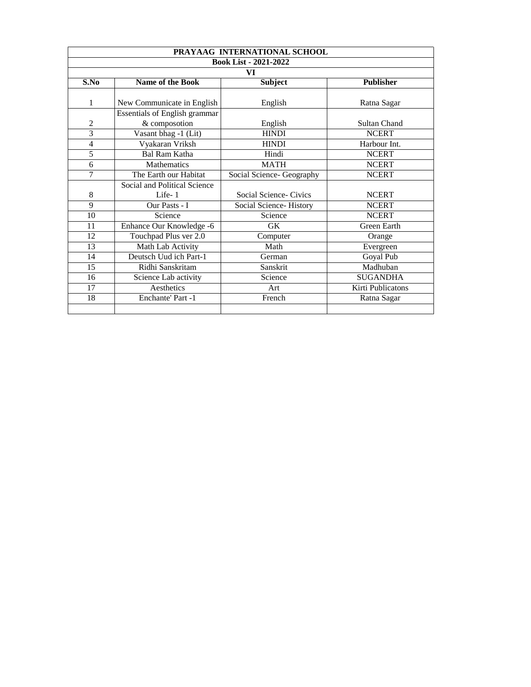|                              | PRAYAAG INTERNATIONAL SCHOOL                          |                               |                     |  |  |  |  |
|------------------------------|-------------------------------------------------------|-------------------------------|---------------------|--|--|--|--|
| <b>Book List - 2021-2022</b> |                                                       |                               |                     |  |  |  |  |
|                              | VI                                                    |                               |                     |  |  |  |  |
| S.No                         | <b>Name of the Book</b>                               | <b>Subject</b>                | <b>Publisher</b>    |  |  |  |  |
|                              | New Communicate in English                            | English                       | Ratna Sagar         |  |  |  |  |
| $\overline{2}$               | <b>Essentials of English grammar</b><br>& composotion | English                       | <b>Sultan Chand</b> |  |  |  |  |
| $\overline{3}$               | Vasant bhag -1 (Lit)                                  | <b>HINDI</b>                  | <b>NCERT</b>        |  |  |  |  |
| $\overline{4}$               | Vyakaran Vriksh                                       | <b>HINDI</b>                  | Harbour Int.        |  |  |  |  |
| 5                            | <b>Bal Ram Katha</b>                                  | Hindi                         | <b>NCERT</b>        |  |  |  |  |
| 6                            | <b>Mathematics</b>                                    | <b>MATH</b>                   | <b>NCERT</b>        |  |  |  |  |
| $\overline{\mathbf{7}}$      | The Earth our Habitat                                 | Social Science- Geography     | <b>NCERT</b>        |  |  |  |  |
|                              | <b>Social and Political Science</b>                   |                               |                     |  |  |  |  |
| 8                            | Life-1                                                | <b>Social Science- Civics</b> | <b>NCERT</b>        |  |  |  |  |
| 9                            | Our Pasts - I                                         | <b>Social Science-History</b> | <b>NCERT</b>        |  |  |  |  |
| 10                           | Science                                               | Science                       | <b>NCERT</b>        |  |  |  |  |
| 11                           | Enhance Our Knowledge -6                              | <b>GK</b>                     | <b>Green Earth</b>  |  |  |  |  |
| 12                           | Touchpad Plus ver 2.0                                 | Computer                      | Orange              |  |  |  |  |
| 13                           | <b>Math Lab Activity</b>                              | Math                          | Evergreen           |  |  |  |  |
| 14                           | Deutsch Uud ich Part-1                                | German                        | Goyal Pub           |  |  |  |  |
| 15                           | Ridhi Sanskritam                                      | Sanskrit                      | Madhuban            |  |  |  |  |
| 16                           | <b>Science Lab activity</b>                           | Science                       | <b>SUGANDHA</b>     |  |  |  |  |
| 17                           | <b>Aesthetics</b>                                     | Art                           | Kirti Publicatons   |  |  |  |  |
| 18                           | <b>Enchante' Part -1</b>                              | French                        | Ratna Sagar         |  |  |  |  |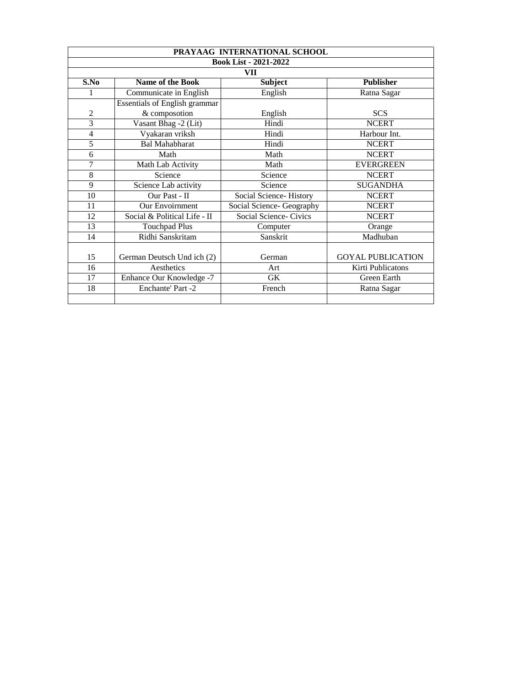| PRAYAAG INTERNATIONAL SCHOOL |                                      |                               |                          |  |  |  |  |
|------------------------------|--------------------------------------|-------------------------------|--------------------------|--|--|--|--|
| <b>Book List - 2021-2022</b> |                                      |                               |                          |  |  |  |  |
|                              | VII                                  |                               |                          |  |  |  |  |
| S.No                         | <b>Name of the Book</b>              | <b>Subject</b>                | <b>Publisher</b>         |  |  |  |  |
|                              | Communicate in English               | English                       | Ratna Sagar              |  |  |  |  |
|                              | <b>Essentials of English grammar</b> |                               |                          |  |  |  |  |
| $\overline{2}$               | & composotion                        | English                       | <b>SCS</b>               |  |  |  |  |
| 3                            | Vasant Bhag -2 (Lit)                 | Hindi                         | <b>NCERT</b>             |  |  |  |  |
| $\overline{4}$               | Vyakaran vriksh                      | Hindi                         | Harbour Int.             |  |  |  |  |
| 5                            | <b>Bal Mahabharat</b>                | Hindi                         | <b>NCERT</b>             |  |  |  |  |
| 6                            | Math                                 | Math                          | <b>NCERT</b>             |  |  |  |  |
| $\boldsymbol{\tau}$          | <b>Math Lab Activity</b>             | Math                          | <b>EVERGREEN</b>         |  |  |  |  |
| 8                            | Science                              | Science                       | <b>NCERT</b>             |  |  |  |  |
| 9                            | <b>Science Lab activity</b>          | Science                       | <b>SUGANDHA</b>          |  |  |  |  |
| 10                           | Our Past - II                        | <b>Social Science-History</b> | <b>NCERT</b>             |  |  |  |  |
| 11                           | Our Envoirnment                      | Social Science- Geography     | <b>NCERT</b>             |  |  |  |  |
| 12                           | Social & Political Life - II         | <b>Social Science- Civics</b> | <b>NCERT</b>             |  |  |  |  |
| 13                           | <b>Touchpad Plus</b>                 | Computer                      | Orange                   |  |  |  |  |
| 14                           | Ridhi Sanskritam                     | Sanskrit                      | Madhuban                 |  |  |  |  |
|                              |                                      |                               |                          |  |  |  |  |
| 15                           | German Deutsch Und ich (2)           | German                        | <b>GOYAL PUBLICATION</b> |  |  |  |  |
| 16                           | Aesthetics                           | Art                           | <b>Kirti Publicatons</b> |  |  |  |  |
| 17                           | Enhance Our Knowledge -7             | GK                            | <b>Green Earth</b>       |  |  |  |  |
| 18                           | <b>Enchante' Part -2</b>             | French                        | Ratna Sagar              |  |  |  |  |
|                              |                                      |                               |                          |  |  |  |  |